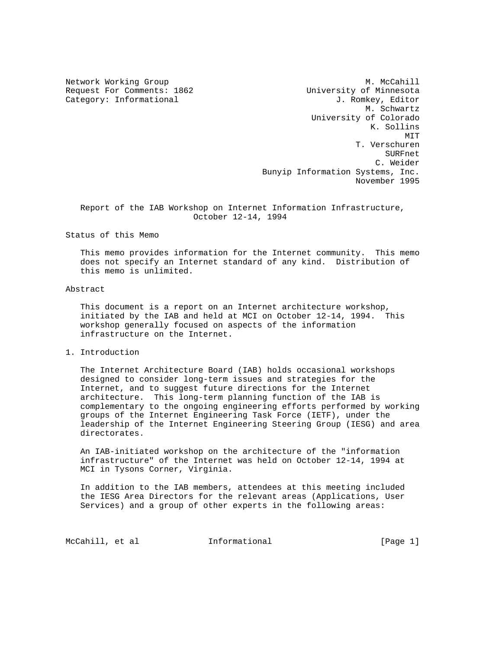Network Working Group Methods and M. McCahill Request For Comments: 1862 University of Minnesota Category: Informational  $J.$  Romkey, Editor M. Schwartz University of Colorado K. Sollins MIT **MIT**  T. Verschuren SURFnet C. Weider Bunyip Information Systems, Inc. November 1995

 Report of the IAB Workshop on Internet Information Infrastructure, October 12-14, 1994

Status of this Memo

 This memo provides information for the Internet community. This memo does not specify an Internet standard of any kind. Distribution of this memo is unlimited.

# Abstract

 This document is a report on an Internet architecture workshop, initiated by the IAB and held at MCI on October 12-14, 1994. This workshop generally focused on aspects of the information infrastructure on the Internet.

1. Introduction

 The Internet Architecture Board (IAB) holds occasional workshops designed to consider long-term issues and strategies for the Internet, and to suggest future directions for the Internet architecture. This long-term planning function of the IAB is complementary to the ongoing engineering efforts performed by working groups of the Internet Engineering Task Force (IETF), under the leadership of the Internet Engineering Steering Group (IESG) and area directorates.

 An IAB-initiated workshop on the architecture of the "information infrastructure" of the Internet was held on October 12-14, 1994 at MCI in Tysons Corner, Virginia.

 In addition to the IAB members, attendees at this meeting included the IESG Area Directors for the relevant areas (Applications, User Services) and a group of other experts in the following areas:

McCahill, et al informational informational [Page 1]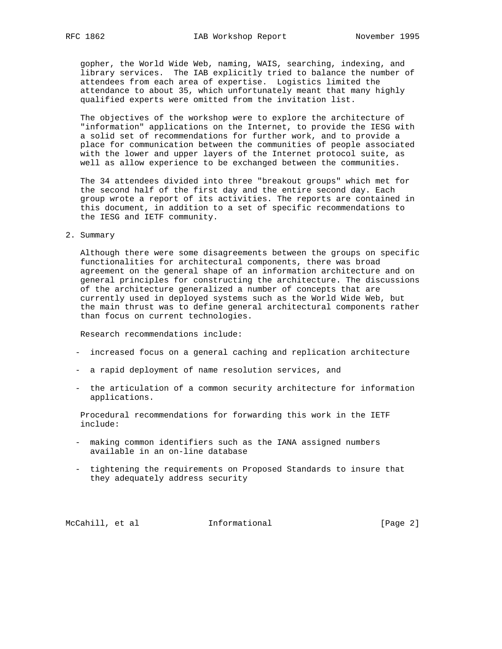gopher, the World Wide Web, naming, WAIS, searching, indexing, and library services. The IAB explicitly tried to balance the number of attendees from each area of expertise. Logistics limited the attendance to about 35, which unfortunately meant that many highly qualified experts were omitted from the invitation list.

 The objectives of the workshop were to explore the architecture of "information" applications on the Internet, to provide the IESG with a solid set of recommendations for further work, and to provide a place for communication between the communities of people associated with the lower and upper layers of the Internet protocol suite, as well as allow experience to be exchanged between the communities.

 The 34 attendees divided into three "breakout groups" which met for the second half of the first day and the entire second day. Each group wrote a report of its activities. The reports are contained in this document, in addition to a set of specific recommendations to the IESG and IETF community.

#### 2. Summary

 Although there were some disagreements between the groups on specific functionalities for architectural components, there was broad agreement on the general shape of an information architecture and on general principles for constructing the architecture. The discussions of the architecture generalized a number of concepts that are currently used in deployed systems such as the World Wide Web, but the main thrust was to define general architectural components rather than focus on current technologies.

Research recommendations include:

- increased focus on a general caching and replication architecture
- a rapid deployment of name resolution services, and
- the articulation of a common security architecture for information applications.

 Procedural recommendations for forwarding this work in the IETF include:

- making common identifiers such as the IANA assigned numbers available in an on-line database
- tightening the requirements on Proposed Standards to insure that they adequately address security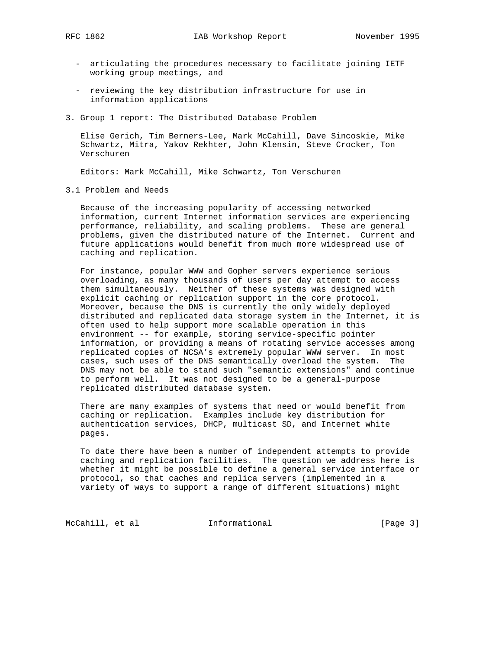- articulating the procedures necessary to facilitate joining IETF working group meetings, and
- reviewing the key distribution infrastructure for use in information applications
- 3. Group 1 report: The Distributed Database Problem

 Elise Gerich, Tim Berners-Lee, Mark McCahill, Dave Sincoskie, Mike Schwartz, Mitra, Yakov Rekhter, John Klensin, Steve Crocker, Ton Verschuren

Editors: Mark McCahill, Mike Schwartz, Ton Verschuren

3.1 Problem and Needs

 Because of the increasing popularity of accessing networked information, current Internet information services are experiencing performance, reliability, and scaling problems. These are general problems, given the distributed nature of the Internet. Current and future applications would benefit from much more widespread use of caching and replication.

 For instance, popular WWW and Gopher servers experience serious overloading, as many thousands of users per day attempt to access them simultaneously. Neither of these systems was designed with explicit caching or replication support in the core protocol. Moreover, because the DNS is currently the only widely deployed distributed and replicated data storage system in the Internet, it is often used to help support more scalable operation in this environment -- for example, storing service-specific pointer information, or providing a means of rotating service accesses among replicated copies of NCSA's extremely popular WWW server. In most cases, such uses of the DNS semantically overload the system. The DNS may not be able to stand such "semantic extensions" and continue to perform well. It was not designed to be a general-purpose replicated distributed database system.

 There are many examples of systems that need or would benefit from caching or replication. Examples include key distribution for authentication services, DHCP, multicast SD, and Internet white pages.

 To date there have been a number of independent attempts to provide caching and replication facilities. The question we address here is whether it might be possible to define a general service interface or protocol, so that caches and replica servers (implemented in a variety of ways to support a range of different situations) might

McCahill, et al **Informational Informational** [Page 3]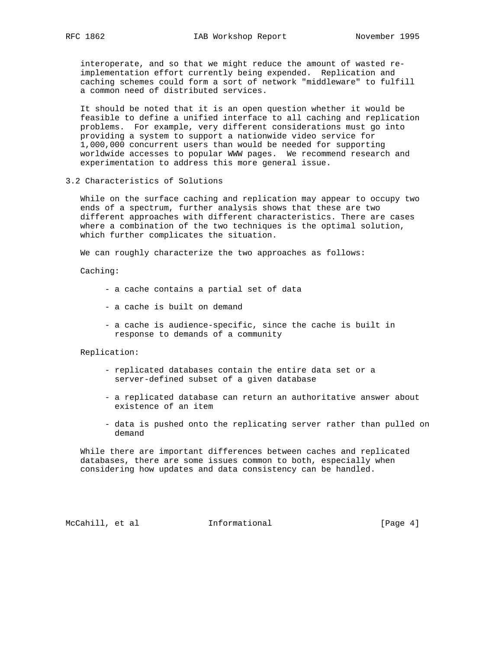interoperate, and so that we might reduce the amount of wasted re implementation effort currently being expended. Replication and caching schemes could form a sort of network "middleware" to fulfill a common need of distributed services.

 It should be noted that it is an open question whether it would be feasible to define a unified interface to all caching and replication problems. For example, very different considerations must go into providing a system to support a nationwide video service for 1,000,000 concurrent users than would be needed for supporting worldwide accesses to popular WWW pages. We recommend research and experimentation to address this more general issue.

3.2 Characteristics of Solutions

 While on the surface caching and replication may appear to occupy two ends of a spectrum, further analysis shows that these are two different approaches with different characteristics. There are cases where a combination of the two techniques is the optimal solution, which further complicates the situation.

We can roughly characterize the two approaches as follows:

Caching:

- a cache contains a partial set of data
- a cache is built on demand
- a cache is audience-specific, since the cache is built in response to demands of a community

Replication:

- replicated databases contain the entire data set or a server-defined subset of a given database
- a replicated database can return an authoritative answer about existence of an item
- data is pushed onto the replicating server rather than pulled on demand

 While there are important differences between caches and replicated databases, there are some issues common to both, especially when considering how updates and data consistency can be handled.

McCahill, et al **Informational** [Page 4]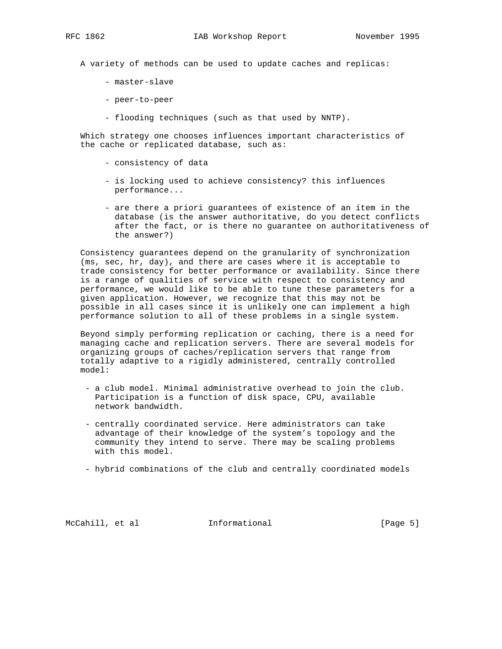A variety of methods can be used to update caches and replicas:

- master-slave
- peer-to-peer
- flooding techniques (such as that used by NNTP).

 Which strategy one chooses influences important characteristics of the cache or replicated database, such as:

- consistency of data
- is locking used to achieve consistency? this influences performance...
- are there a priori guarantees of existence of an item in the database (is the answer authoritative, do you detect conflicts after the fact, or is there no guarantee on authoritativeness of the answer?)

 Consistency guarantees depend on the granularity of synchronization (ms, sec, hr, day), and there are cases where it is acceptable to trade consistency for better performance or availability. Since there is a range of qualities of service with respect to consistency and performance, we would like to be able to tune these parameters for a given application. However, we recognize that this may not be possible in all cases since it is unlikely one can implement a high performance solution to all of these problems in a single system.

 Beyond simply performing replication or caching, there is a need for managing cache and replication servers. There are several models for organizing groups of caches/replication servers that range from totally adaptive to a rigidly administered, centrally controlled model:

- a club model. Minimal administrative overhead to join the club. Participation is a function of disk space, CPU, available network bandwidth.
- centrally coordinated service. Here administrators can take advantage of their knowledge of the system's topology and the community they intend to serve. There may be scaling problems with this model.
- hybrid combinations of the club and centrally coordinated models

McCahill, et al **Informational** [Page 5]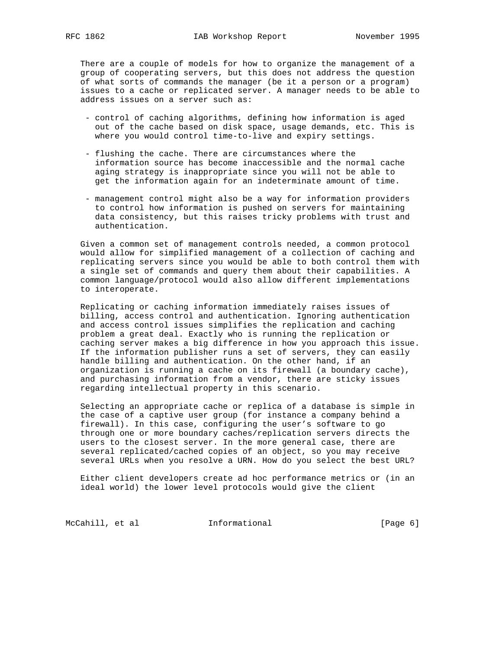There are a couple of models for how to organize the management of a group of cooperating servers, but this does not address the question of what sorts of commands the manager (be it a person or a program) issues to a cache or replicated server. A manager needs to be able to address issues on a server such as:

- control of caching algorithms, defining how information is aged out of the cache based on disk space, usage demands, etc. This is where you would control time-to-live and expiry settings.
- flushing the cache. There are circumstances where the information source has become inaccessible and the normal cache aging strategy is inappropriate since you will not be able to get the information again for an indeterminate amount of time.
- management control might also be a way for information providers to control how information is pushed on servers for maintaining data consistency, but this raises tricky problems with trust and authentication.

 Given a common set of management controls needed, a common protocol would allow for simplified management of a collection of caching and replicating servers since you would be able to both control them with a single set of commands and query them about their capabilities. A common language/protocol would also allow different implementations to interoperate.

 Replicating or caching information immediately raises issues of billing, access control and authentication. Ignoring authentication and access control issues simplifies the replication and caching problem a great deal. Exactly who is running the replication or caching server makes a big difference in how you approach this issue. If the information publisher runs a set of servers, they can easily handle billing and authentication. On the other hand, if an organization is running a cache on its firewall (a boundary cache), and purchasing information from a vendor, there are sticky issues regarding intellectual property in this scenario.

 Selecting an appropriate cache or replica of a database is simple in the case of a captive user group (for instance a company behind a firewall). In this case, configuring the user's software to go through one or more boundary caches/replication servers directs the users to the closest server. In the more general case, there are several replicated/cached copies of an object, so you may receive several URLs when you resolve a URN. How do you select the best URL?

 Either client developers create ad hoc performance metrics or (in an ideal world) the lower level protocols would give the client

McCahill, et al **Informational Informational** [Page 6]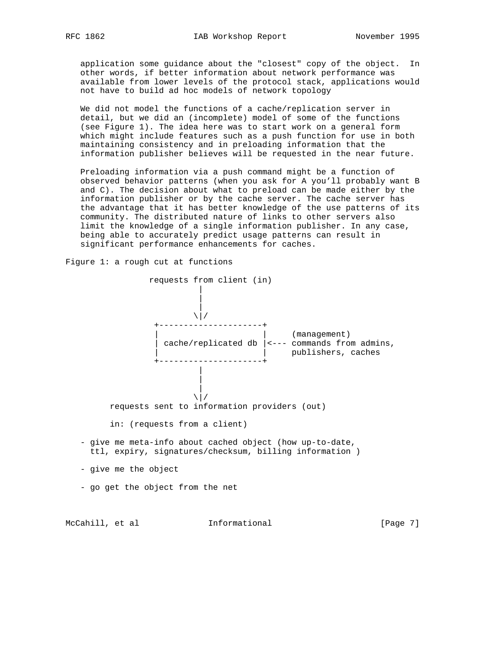application some guidance about the "closest" copy of the object. In other words, if better information about network performance was available from lower levels of the protocol stack, applications would not have to build ad hoc models of network topology

 We did not model the functions of a cache/replication server in detail, but we did an (incomplete) model of some of the functions (see Figure 1). The idea here was to start work on a general form which might include features such as a push function for use in both maintaining consistency and in preloading information that the information publisher believes will be requested in the near future.

 Preloading information via a push command might be a function of observed behavior patterns (when you ask for A you'll probably want B and C). The decision about what to preload can be made either by the information publisher or by the cache server. The cache server has the advantage that it has better knowledge of the use patterns of its community. The distributed nature of links to other servers also limit the knowledge of a single information publisher. In any case, being able to accurately predict usage patterns can result in significant performance enhancements for caches.

Figure 1: a rough cut at functions

 requests from client (in) | | |  $\sqrt{}/$  +---------------------+ | | (management) | cache/replicated db |<--- commands from admins, | | publishers, caches +---------------------+ | | |  $\sqrt{}/$  requests sent to information providers (out) in: (requests from a client) - give me meta-info about cached object (how up-to-date, ttl, expiry, signatures/checksum, billing information ) - give me the object - go get the object from the net

McCahill, et al **Informational** 10 [Page 7]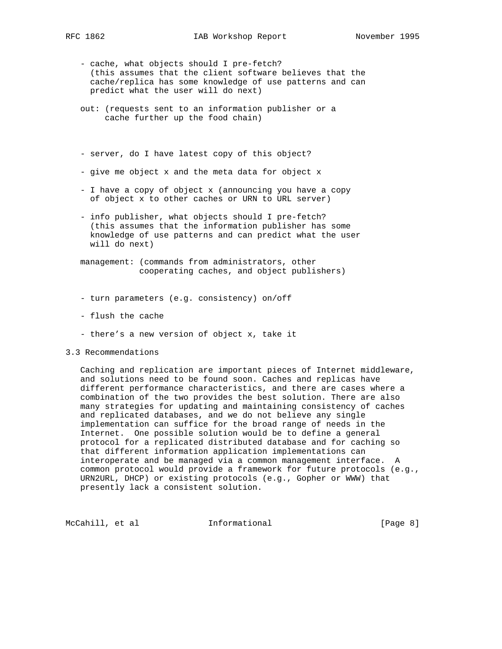- cache, what objects should I pre-fetch? (this assumes that the client software believes that the cache/replica has some knowledge of use patterns and can predict what the user will do next)
- out: (requests sent to an information publisher or a cache further up the food chain)
- server, do I have latest copy of this object?
- give me object x and the meta data for object x
- I have a copy of object x (announcing you have a copy of object x to other caches or URN to URL server)
- info publisher, what objects should I pre-fetch? (this assumes that the information publisher has some knowledge of use patterns and can predict what the user will do next)
- management: (commands from administrators, other cooperating caches, and object publishers)
- turn parameters (e.g. consistency) on/off
- flush the cache
- there's a new version of object x, take it
- 3.3 Recommendations

 Caching and replication are important pieces of Internet middleware, and solutions need to be found soon. Caches and replicas have different performance characteristics, and there are cases where a combination of the two provides the best solution. There are also many strategies for updating and maintaining consistency of caches and replicated databases, and we do not believe any single implementation can suffice for the broad range of needs in the Internet. One possible solution would be to define a general protocol for a replicated distributed database and for caching so that different information application implementations can interoperate and be managed via a common management interface. A common protocol would provide a framework for future protocols (e.g., URN2URL, DHCP) or existing protocols (e.g., Gopher or WWW) that presently lack a consistent solution.

McCahill, et al **Informational** [Page 8]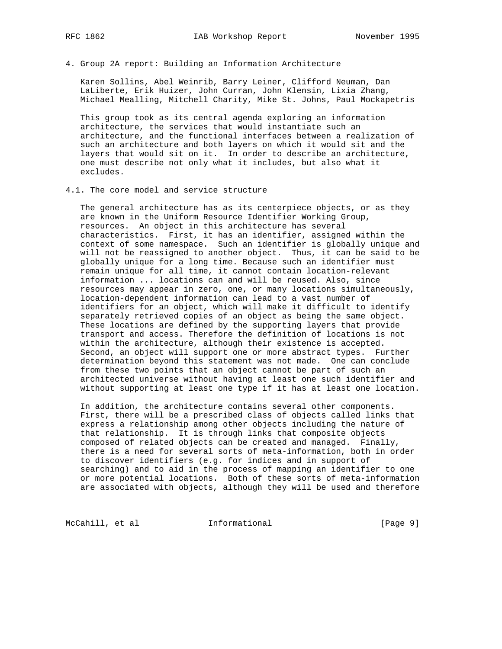4. Group 2A report: Building an Information Architecture

 Karen Sollins, Abel Weinrib, Barry Leiner, Clifford Neuman, Dan LaLiberte, Erik Huizer, John Curran, John Klensin, Lixia Zhang, Michael Mealling, Mitchell Charity, Mike St. Johns, Paul Mockapetris

 This group took as its central agenda exploring an information architecture, the services that would instantiate such an architecture, and the functional interfaces between a realization of such an architecture and both layers on which it would sit and the layers that would sit on it. In order to describe an architecture, one must describe not only what it includes, but also what it excludes.

4.1. The core model and service structure

 The general architecture has as its centerpiece objects, or as they are known in the Uniform Resource Identifier Working Group, resources. An object in this architecture has several characteristics. First, it has an identifier, assigned within the context of some namespace. Such an identifier is globally unique and will not be reassigned to another object. Thus, it can be said to be globally unique for a long time. Because such an identifier must remain unique for all time, it cannot contain location-relevant information ... locations can and will be reused. Also, since resources may appear in zero, one, or many locations simultaneously, location-dependent information can lead to a vast number of identifiers for an object, which will make it difficult to identify separately retrieved copies of an object as being the same object. These locations are defined by the supporting layers that provide transport and access. Therefore the definition of locations is not within the architecture, although their existence is accepted. Second, an object will support one or more abstract types. Further determination beyond this statement was not made. One can conclude from these two points that an object cannot be part of such an architected universe without having at least one such identifier and without supporting at least one type if it has at least one location.

 In addition, the architecture contains several other components. First, there will be a prescribed class of objects called links that express a relationship among other objects including the nature of that relationship. It is through links that composite objects composed of related objects can be created and managed. Finally, there is a need for several sorts of meta-information, both in order to discover identifiers (e.g. for indices and in support of searching) and to aid in the process of mapping an identifier to one or more potential locations. Both of these sorts of meta-information are associated with objects, although they will be used and therefore

McCahill, et al **Informational Informational** [Page 9]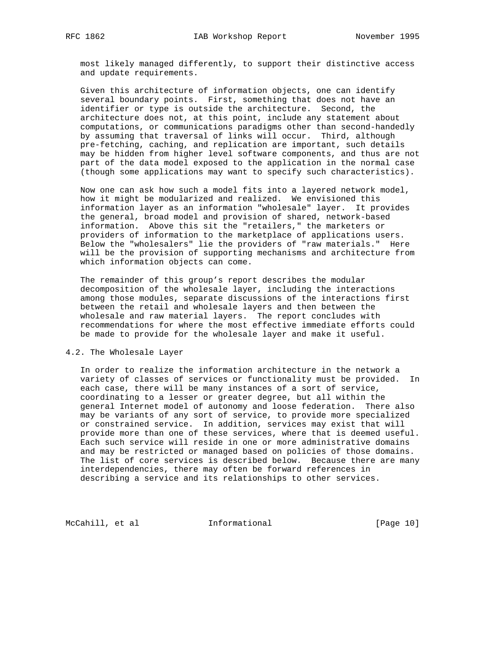most likely managed differently, to support their distinctive access and update requirements.

 Given this architecture of information objects, one can identify several boundary points. First, something that does not have an identifier or type is outside the architecture. Second, the architecture does not, at this point, include any statement about computations, or communications paradigms other than second-handedly by assuming that traversal of links will occur. Third, although pre-fetching, caching, and replication are important, such details may be hidden from higher level software components, and thus are not part of the data model exposed to the application in the normal case (though some applications may want to specify such characteristics).

 Now one can ask how such a model fits into a layered network model, how it might be modularized and realized. We envisioned this information layer as an information "wholesale" layer. It provides the general, broad model and provision of shared, network-based information. Above this sit the "retailers," the marketers or providers of information to the marketplace of applications users. Below the "wholesalers" lie the providers of "raw materials." Here will be the provision of supporting mechanisms and architecture from which information objects can come.

 The remainder of this group's report describes the modular decomposition of the wholesale layer, including the interactions among those modules, separate discussions of the interactions first between the retail and wholesale layers and then between the wholesale and raw material layers. The report concludes with recommendations for where the most effective immediate efforts could be made to provide for the wholesale layer and make it useful.

# 4.2. The Wholesale Layer

 In order to realize the information architecture in the network a variety of classes of services or functionality must be provided. In each case, there will be many instances of a sort of service, coordinating to a lesser or greater degree, but all within the general Internet model of autonomy and loose federation. There also may be variants of any sort of service, to provide more specialized or constrained service. In addition, services may exist that will provide more than one of these services, where that is deemed useful. Each such service will reside in one or more administrative domains and may be restricted or managed based on policies of those domains. The list of core services is described below. Because there are many interdependencies, there may often be forward references in describing a service and its relationships to other services.

McCahill, et al **Informational** [Page 10]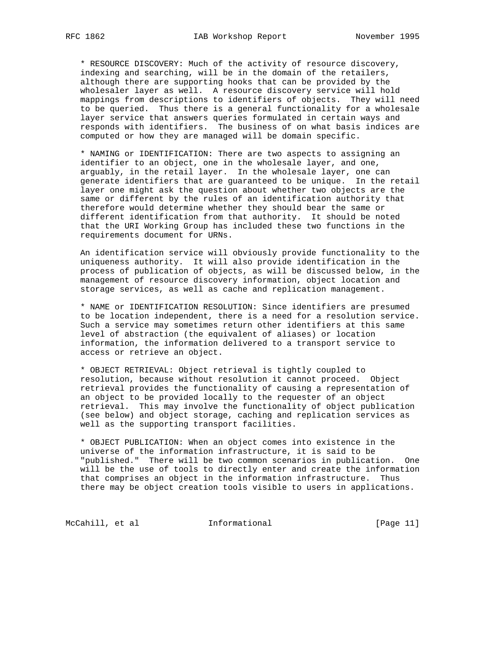\* RESOURCE DISCOVERY: Much of the activity of resource discovery, indexing and searching, will be in the domain of the retailers, although there are supporting hooks that can be provided by the wholesaler layer as well. A resource discovery service will hold mappings from descriptions to identifiers of objects. They will need to be queried. Thus there is a general functionality for a wholesale layer service that answers queries formulated in certain ways and responds with identifiers. The business of on what basis indices are computed or how they are managed will be domain specific.

 \* NAMING or IDENTIFICATION: There are two aspects to assigning an identifier to an object, one in the wholesale layer, and one, arguably, in the retail layer. In the wholesale layer, one can generate identifiers that are guaranteed to be unique. In the retail layer one might ask the question about whether two objects are the same or different by the rules of an identification authority that therefore would determine whether they should bear the same or different identification from that authority. It should be noted that the URI Working Group has included these two functions in the requirements document for URNs.

 An identification service will obviously provide functionality to the uniqueness authority. It will also provide identification in the process of publication of objects, as will be discussed below, in the management of resource discovery information, object location and storage services, as well as cache and replication management.

 \* NAME or IDENTIFICATION RESOLUTION: Since identifiers are presumed to be location independent, there is a need for a resolution service. Such a service may sometimes return other identifiers at this same level of abstraction (the equivalent of aliases) or location information, the information delivered to a transport service to access or retrieve an object.

 \* OBJECT RETRIEVAL: Object retrieval is tightly coupled to resolution, because without resolution it cannot proceed. Object retrieval provides the functionality of causing a representation of an object to be provided locally to the requester of an object retrieval. This may involve the functionality of object publication (see below) and object storage, caching and replication services as well as the supporting transport facilities.

 \* OBJECT PUBLICATION: When an object comes into existence in the universe of the information infrastructure, it is said to be "published." There will be two common scenarios in publication. One will be the use of tools to directly enter and create the information that comprises an object in the information infrastructure. Thus there may be object creation tools visible to users in applications.

McCahill, et al **Informational** [Page 11]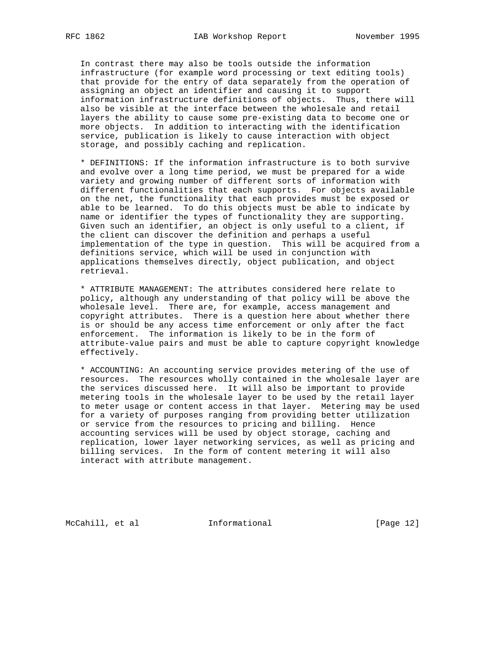In contrast there may also be tools outside the information infrastructure (for example word processing or text editing tools) that provide for the entry of data separately from the operation of assigning an object an identifier and causing it to support information infrastructure definitions of objects. Thus, there will also be visible at the interface between the wholesale and retail layers the ability to cause some pre-existing data to become one or more objects. In addition to interacting with the identification service, publication is likely to cause interaction with object storage, and possibly caching and replication.

 \* DEFINITIONS: If the information infrastructure is to both survive and evolve over a long time period, we must be prepared for a wide variety and growing number of different sorts of information with different functionalities that each supports. For objects available on the net, the functionality that each provides must be exposed or able to be learned. To do this objects must be able to indicate by name or identifier the types of functionality they are supporting. Given such an identifier, an object is only useful to a client, if the client can discover the definition and perhaps a useful implementation of the type in question. This will be acquired from a definitions service, which will be used in conjunction with applications themselves directly, object publication, and object retrieval.

 \* ATTRIBUTE MANAGEMENT: The attributes considered here relate to policy, although any understanding of that policy will be above the wholesale level. There are, for example, access management and copyright attributes. There is a question here about whether there is or should be any access time enforcement or only after the fact enforcement. The information is likely to be in the form of attribute-value pairs and must be able to capture copyright knowledge effectively.

 \* ACCOUNTING: An accounting service provides metering of the use of resources. The resources wholly contained in the wholesale layer are the services discussed here. It will also be important to provide metering tools in the wholesale layer to be used by the retail layer to meter usage or content access in that layer. Metering may be used for a variety of purposes ranging from providing better utilization or service from the resources to pricing and billing. Hence accounting services will be used by object storage, caching and replication, lower layer networking services, as well as pricing and billing services. In the form of content metering it will also interact with attribute management.

McCahill, et al **Informational** [Page 12]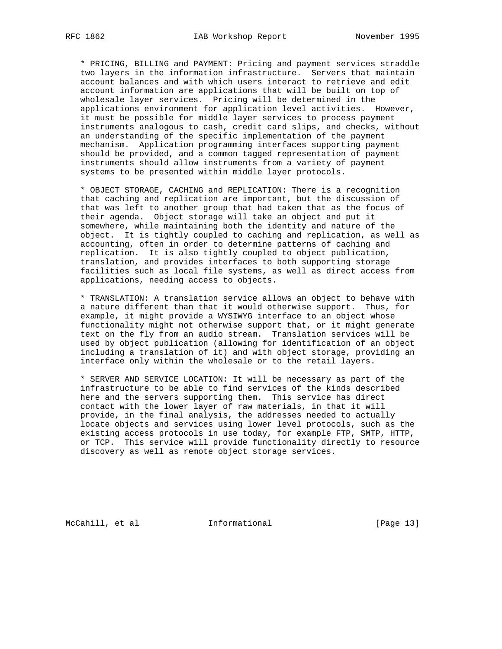\* PRICING, BILLING and PAYMENT: Pricing and payment services straddle two layers in the information infrastructure. Servers that maintain account balances and with which users interact to retrieve and edit account information are applications that will be built on top of wholesale layer services. Pricing will be determined in the applications environment for application level activities. However, it must be possible for middle layer services to process payment instruments analogous to cash, credit card slips, and checks, without an understanding of the specific implementation of the payment mechanism. Application programming interfaces supporting payment should be provided, and a common tagged representation of payment instruments should allow instruments from a variety of payment systems to be presented within middle layer protocols.

 \* OBJECT STORAGE, CACHING and REPLICATION: There is a recognition that caching and replication are important, but the discussion of that was left to another group that had taken that as the focus of their agenda. Object storage will take an object and put it somewhere, while maintaining both the identity and nature of the object. It is tightly coupled to caching and replication, as well as accounting, often in order to determine patterns of caching and replication. It is also tightly coupled to object publication, translation, and provides interfaces to both supporting storage facilities such as local file systems, as well as direct access from applications, needing access to objects.

 \* TRANSLATION: A translation service allows an object to behave with a nature different than that it would otherwise support. Thus, for example, it might provide a WYSIWYG interface to an object whose functionality might not otherwise support that, or it might generate text on the fly from an audio stream. Translation services will be used by object publication (allowing for identification of an object including a translation of it) and with object storage, providing an interface only within the wholesale or to the retail layers.

 \* SERVER AND SERVICE LOCATION: It will be necessary as part of the infrastructure to be able to find services of the kinds described here and the servers supporting them. This service has direct contact with the lower layer of raw materials, in that it will provide, in the final analysis, the addresses needed to actually locate objects and services using lower level protocols, such as the existing access protocols in use today, for example FTP, SMTP, HTTP, or TCP. This service will provide functionality directly to resource discovery as well as remote object storage services.

McCahill, et al **Informational** [Page 13]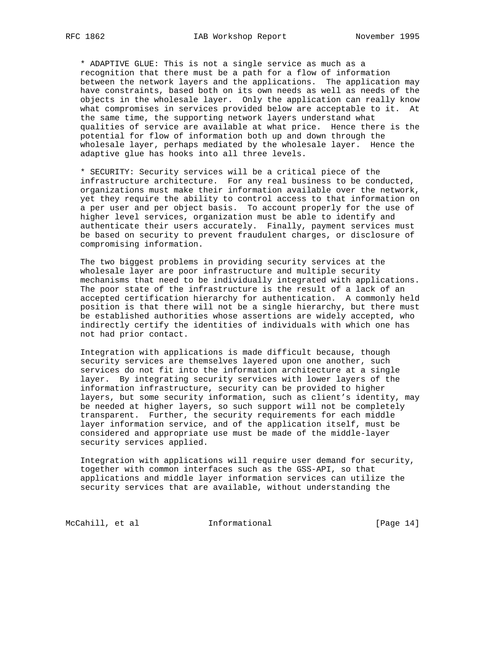\* ADAPTIVE GLUE: This is not a single service as much as a recognition that there must be a path for a flow of information between the network layers and the applications. The application may have constraints, based both on its own needs as well as needs of the objects in the wholesale layer. Only the application can really know what compromises in services provided below are acceptable to it. At the same time, the supporting network layers understand what qualities of service are available at what price. Hence there is the potential for flow of information both up and down through the wholesale layer, perhaps mediated by the wholesale layer. Hence the adaptive glue has hooks into all three levels.

 \* SECURITY: Security services will be a critical piece of the infrastructure architecture. For any real business to be conducted, organizations must make their information available over the network, yet they require the ability to control access to that information on a per user and per object basis. To account properly for the use of higher level services, organization must be able to identify and authenticate their users accurately. Finally, payment services must be based on security to prevent fraudulent charges, or disclosure of compromising information.

 The two biggest problems in providing security services at the wholesale layer are poor infrastructure and multiple security mechanisms that need to be individually integrated with applications. The poor state of the infrastructure is the result of a lack of an accepted certification hierarchy for authentication. A commonly held position is that there will not be a single hierarchy, but there must be established authorities whose assertions are widely accepted, who indirectly certify the identities of individuals with which one has not had prior contact.

 Integration with applications is made difficult because, though security services are themselves layered upon one another, such services do not fit into the information architecture at a single layer. By integrating security services with lower layers of the information infrastructure, security can be provided to higher layers, but some security information, such as client's identity, may be needed at higher layers, so such support will not be completely transparent. Further, the security requirements for each middle layer information service, and of the application itself, must be considered and appropriate use must be made of the middle-layer security services applied.

 Integration with applications will require user demand for security, together with common interfaces such as the GSS-API, so that applications and middle layer information services can utilize the security services that are available, without understanding the

McCahill, et al **Informational** [Page 14]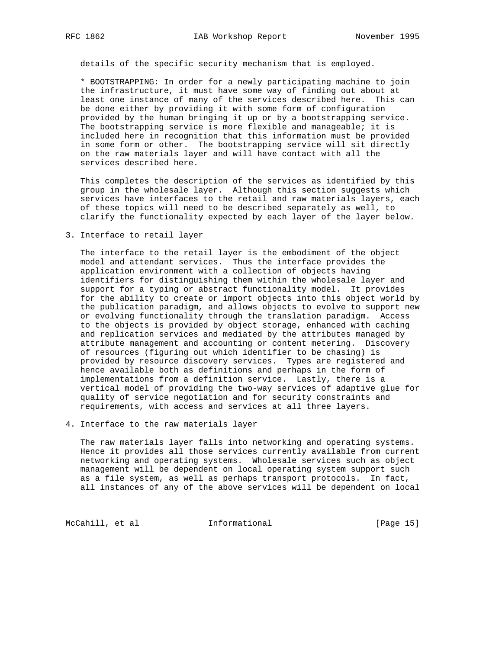details of the specific security mechanism that is employed.

 \* BOOTSTRAPPING: In order for a newly participating machine to join the infrastructure, it must have some way of finding out about at least one instance of many of the services described here. This can be done either by providing it with some form of configuration provided by the human bringing it up or by a bootstrapping service. The bootstrapping service is more flexible and manageable; it is included here in recognition that this information must be provided in some form or other. The bootstrapping service will sit directly on the raw materials layer and will have contact with all the services described here.

 This completes the description of the services as identified by this group in the wholesale layer. Although this section suggests which services have interfaces to the retail and raw materials layers, each of these topics will need to be described separately as well, to clarify the functionality expected by each layer of the layer below.

3. Interface to retail layer

 The interface to the retail layer is the embodiment of the object model and attendant services. Thus the interface provides the application environment with a collection of objects having identifiers for distinguishing them within the wholesale layer and support for a typing or abstract functionality model. It provides for the ability to create or import objects into this object world by the publication paradigm, and allows objects to evolve to support new or evolving functionality through the translation paradigm. Access to the objects is provided by object storage, enhanced with caching and replication services and mediated by the attributes managed by attribute management and accounting or content metering. Discovery of resources (figuring out which identifier to be chasing) is provided by resource discovery services. Types are registered and hence available both as definitions and perhaps in the form of implementations from a definition service. Lastly, there is a vertical model of providing the two-way services of adaptive glue for quality of service negotiation and for security constraints and requirements, with access and services at all three layers.

4. Interface to the raw materials layer

 The raw materials layer falls into networking and operating systems. Hence it provides all those services currently available from current networking and operating systems. Wholesale services such as object management will be dependent on local operating system support such as a file system, as well as perhaps transport protocols. In fact, all instances of any of the above services will be dependent on local

McCahill, et al **Informational** [Page 15]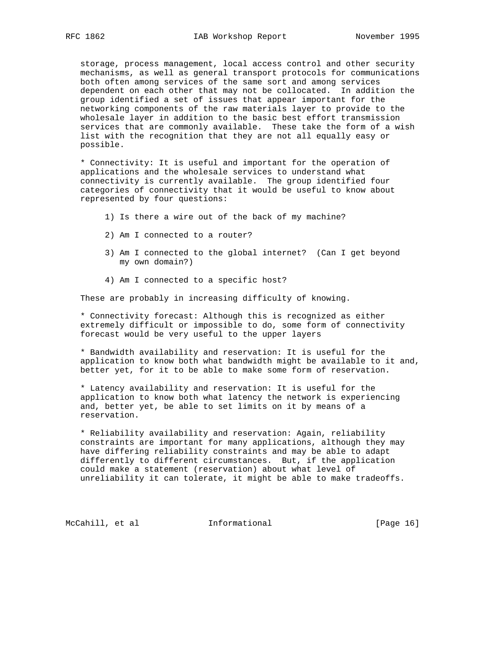storage, process management, local access control and other security mechanisms, as well as general transport protocols for communications both often among services of the same sort and among services dependent on each other that may not be collocated. In addition the group identified a set of issues that appear important for the networking components of the raw materials layer to provide to the wholesale layer in addition to the basic best effort transmission services that are commonly available. These take the form of a wish list with the recognition that they are not all equally easy or possible.

 \* Connectivity: It is useful and important for the operation of applications and the wholesale services to understand what connectivity is currently available. The group identified four categories of connectivity that it would be useful to know about represented by four questions:

- 1) Is there a wire out of the back of my machine?
- 2) Am I connected to a router?
- 3) Am I connected to the global internet? (Can I get beyond my own domain?)
- 4) Am I connected to a specific host?

These are probably in increasing difficulty of knowing.

 \* Connectivity forecast: Although this is recognized as either extremely difficult or impossible to do, some form of connectivity forecast would be very useful to the upper layers

 \* Bandwidth availability and reservation: It is useful for the application to know both what bandwidth might be available to it and, better yet, for it to be able to make some form of reservation.

 \* Latency availability and reservation: It is useful for the application to know both what latency the network is experiencing and, better yet, be able to set limits on it by means of a reservation.

 \* Reliability availability and reservation: Again, reliability constraints are important for many applications, although they may have differing reliability constraints and may be able to adapt differently to different circumstances. But, if the application could make a statement (reservation) about what level of unreliability it can tolerate, it might be able to make tradeoffs.

McCahill, et al **Informational** [Page 16]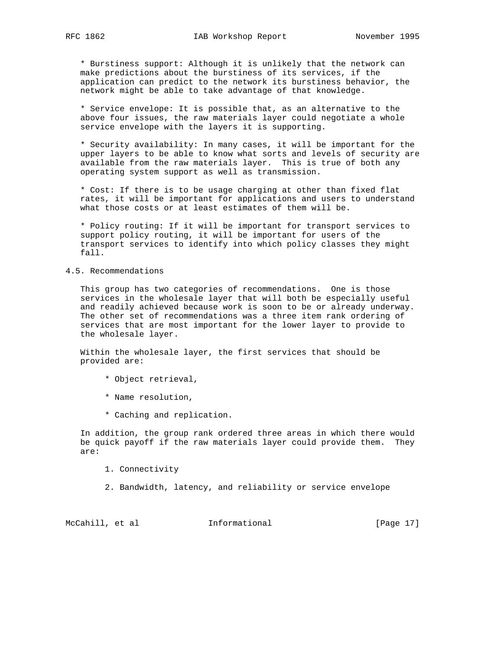\* Burstiness support: Although it is unlikely that the network can make predictions about the burstiness of its services, if the application can predict to the network its burstiness behavior, the network might be able to take advantage of that knowledge.

 \* Service envelope: It is possible that, as an alternative to the above four issues, the raw materials layer could negotiate a whole service envelope with the layers it is supporting.

 \* Security availability: In many cases, it will be important for the upper layers to be able to know what sorts and levels of security are available from the raw materials layer. This is true of both any operating system support as well as transmission.

 \* Cost: If there is to be usage charging at other than fixed flat rates, it will be important for applications and users to understand what those costs or at least estimates of them will be.

 \* Policy routing: If it will be important for transport services to support policy routing, it will be important for users of the transport services to identify into which policy classes they might fall.

### 4.5. Recommendations

 This group has two categories of recommendations. One is those services in the wholesale layer that will both be especially useful and readily achieved because work is soon to be or already underway. The other set of recommendations was a three item rank ordering of services that are most important for the lower layer to provide to the wholesale layer.

 Within the wholesale layer, the first services that should be provided are:

- \* Object retrieval,
- \* Name resolution,
- \* Caching and replication.

 In addition, the group rank ordered three areas in which there would be quick payoff if the raw materials layer could provide them. They are:

1. Connectivity

2. Bandwidth, latency, and reliability or service envelope

McCahill, et al **Informational** [Page 17]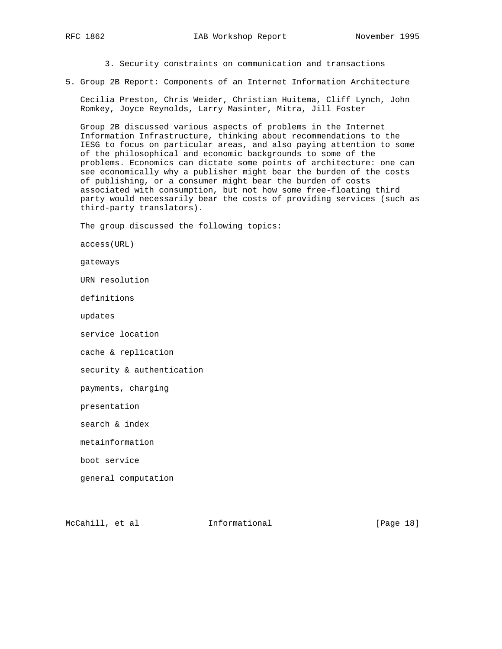3. Security constraints on communication and transactions

5. Group 2B Report: Components of an Internet Information Architecture

 Cecilia Preston, Chris Weider, Christian Huitema, Cliff Lynch, John Romkey, Joyce Reynolds, Larry Masinter, Mitra, Jill Foster

 Group 2B discussed various aspects of problems in the Internet Information Infrastructure, thinking about recommendations to the IESG to focus on particular areas, and also paying attention to some of the philosophical and economic backgrounds to some of the problems. Economics can dictate some points of architecture: one can see economically why a publisher might bear the burden of the costs of publishing, or a consumer might bear the burden of costs associated with consumption, but not how some free-floating third party would necessarily bear the costs of providing services (such as third-party translators).

The group discussed the following topics:

access(URL)

gateways

URN resolution

definitions

updates

service location

cache & replication

security & authentication

payments, charging

presentation

search & index

metainformation

boot service

general computation

McCahill, et al **Informational** [Page 18]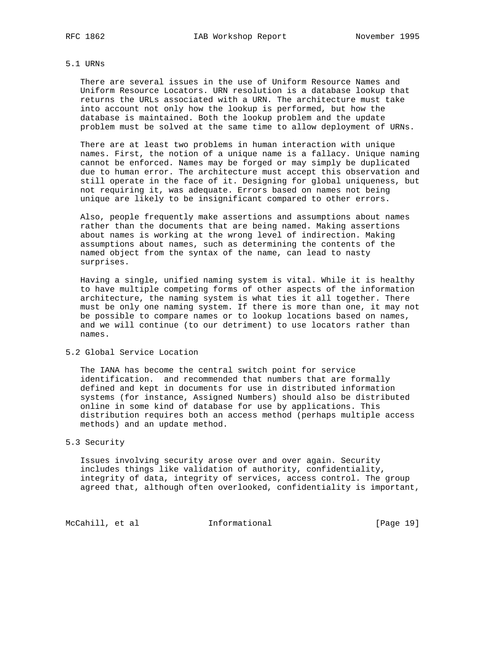### 5.1 URNs

 There are several issues in the use of Uniform Resource Names and Uniform Resource Locators. URN resolution is a database lookup that returns the URLs associated with a URN. The architecture must take into account not only how the lookup is performed, but how the database is maintained. Both the lookup problem and the update problem must be solved at the same time to allow deployment of URNs.

 There are at least two problems in human interaction with unique names. First, the notion of a unique name is a fallacy. Unique naming cannot be enforced. Names may be forged or may simply be duplicated due to human error. The architecture must accept this observation and still operate in the face of it. Designing for global uniqueness, but not requiring it, was adequate. Errors based on names not being unique are likely to be insignificant compared to other errors.

 Also, people frequently make assertions and assumptions about names rather than the documents that are being named. Making assertions about names is working at the wrong level of indirection. Making assumptions about names, such as determining the contents of the named object from the syntax of the name, can lead to nasty surprises.

 Having a single, unified naming system is vital. While it is healthy to have multiple competing forms of other aspects of the information architecture, the naming system is what ties it all together. There must be only one naming system. If there is more than one, it may not be possible to compare names or to lookup locations based on names, and we will continue (to our detriment) to use locators rather than names.

5.2 Global Service Location

 The IANA has become the central switch point for service identification. and recommended that numbers that are formally defined and kept in documents for use in distributed information systems (for instance, Assigned Numbers) should also be distributed online in some kind of database for use by applications. This distribution requires both an access method (perhaps multiple access methods) and an update method.

# 5.3 Security

 Issues involving security arose over and over again. Security includes things like validation of authority, confidentiality, integrity of data, integrity of services, access control. The group agreed that, although often overlooked, confidentiality is important,

McCahill, et al **Informational** [Page 19]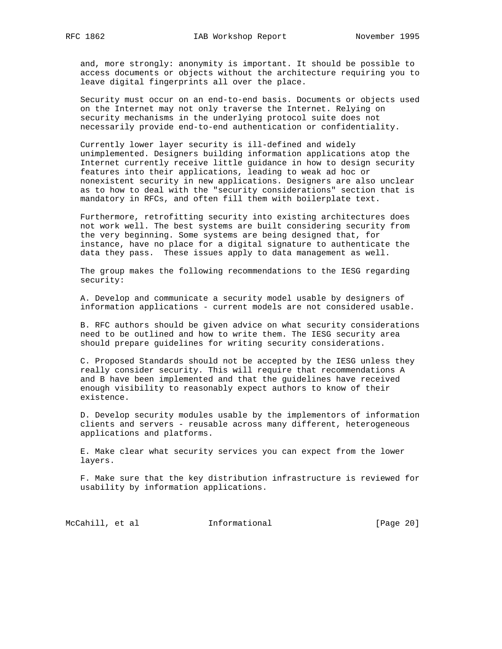and, more strongly: anonymity is important. It should be possible to access documents or objects without the architecture requiring you to leave digital fingerprints all over the place.

 Security must occur on an end-to-end basis. Documents or objects used on the Internet may not only traverse the Internet. Relying on security mechanisms in the underlying protocol suite does not necessarily provide end-to-end authentication or confidentiality.

 Currently lower layer security is ill-defined and widely unimplemented. Designers building information applications atop the Internet currently receive little guidance in how to design security features into their applications, leading to weak ad hoc or nonexistent security in new applications. Designers are also unclear as to how to deal with the "security considerations" section that is mandatory in RFCs, and often fill them with boilerplate text.

 Furthermore, retrofitting security into existing architectures does not work well. The best systems are built considering security from the very beginning. Some systems are being designed that, for instance, have no place for a digital signature to authenticate the data they pass. These issues apply to data management as well.

 The group makes the following recommendations to the IESG regarding security:

 A. Develop and communicate a security model usable by designers of information applications - current models are not considered usable.

 B. RFC authors should be given advice on what security considerations need to be outlined and how to write them. The IESG security area should prepare guidelines for writing security considerations.

 C. Proposed Standards should not be accepted by the IESG unless they really consider security. This will require that recommendations A and B have been implemented and that the guidelines have received enough visibility to reasonably expect authors to know of their existence.

 D. Develop security modules usable by the implementors of information clients and servers - reusable across many different, heterogeneous applications and platforms.

 E. Make clear what security services you can expect from the lower layers.

 F. Make sure that the key distribution infrastructure is reviewed for usability by information applications.

McCahill, et al **Informational** [Page 20]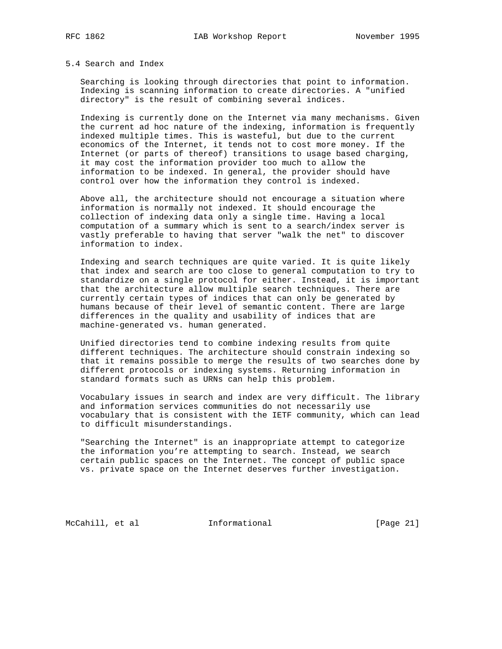#### 5.4 Search and Index

 Searching is looking through directories that point to information. Indexing is scanning information to create directories. A "unified directory" is the result of combining several indices.

 Indexing is currently done on the Internet via many mechanisms. Given the current ad hoc nature of the indexing, information is frequently indexed multiple times. This is wasteful, but due to the current economics of the Internet, it tends not to cost more money. If the Internet (or parts of thereof) transitions to usage based charging, it may cost the information provider too much to allow the information to be indexed. In general, the provider should have control over how the information they control is indexed.

 Above all, the architecture should not encourage a situation where information is normally not indexed. It should encourage the collection of indexing data only a single time. Having a local computation of a summary which is sent to a search/index server is vastly preferable to having that server "walk the net" to discover information to index.

 Indexing and search techniques are quite varied. It is quite likely that index and search are too close to general computation to try to standardize on a single protocol for either. Instead, it is important that the architecture allow multiple search techniques. There are currently certain types of indices that can only be generated by humans because of their level of semantic content. There are large differences in the quality and usability of indices that are machine-generated vs. human generated.

 Unified directories tend to combine indexing results from quite different techniques. The architecture should constrain indexing so that it remains possible to merge the results of two searches done by different protocols or indexing systems. Returning information in standard formats such as URNs can help this problem.

 Vocabulary issues in search and index are very difficult. The library and information services communities do not necessarily use vocabulary that is consistent with the IETF community, which can lead to difficult misunderstandings.

 "Searching the Internet" is an inappropriate attempt to categorize the information you're attempting to search. Instead, we search certain public spaces on the Internet. The concept of public space vs. private space on the Internet deserves further investigation.

McCahill, et al **Informational** [Page 21]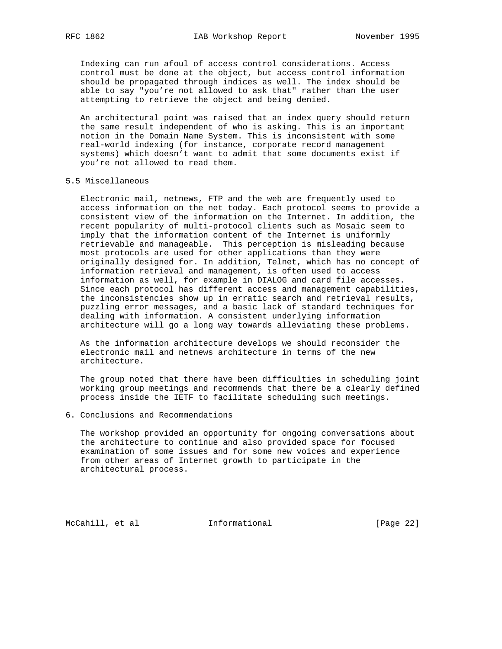Indexing can run afoul of access control considerations. Access control must be done at the object, but access control information should be propagated through indices as well. The index should be able to say "you're not allowed to ask that" rather than the user attempting to retrieve the object and being denied.

 An architectural point was raised that an index query should return the same result independent of who is asking. This is an important notion in the Domain Name System. This is inconsistent with some real-world indexing (for instance, corporate record management systems) which doesn't want to admit that some documents exist if you're not allowed to read them.

### 5.5 Miscellaneous

 Electronic mail, netnews, FTP and the web are frequently used to access information on the net today. Each protocol seems to provide a consistent view of the information on the Internet. In addition, the recent popularity of multi-protocol clients such as Mosaic seem to imply that the information content of the Internet is uniformly retrievable and manageable. This perception is misleading because most protocols are used for other applications than they were originally designed for. In addition, Telnet, which has no concept of information retrieval and management, is often used to access information as well, for example in DIALOG and card file accesses. Since each protocol has different access and management capabilities, the inconsistencies show up in erratic search and retrieval results, puzzling error messages, and a basic lack of standard techniques for dealing with information. A consistent underlying information architecture will go a long way towards alleviating these problems.

 As the information architecture develops we should reconsider the electronic mail and netnews architecture in terms of the new architecture.

 The group noted that there have been difficulties in scheduling joint working group meetings and recommends that there be a clearly defined process inside the IETF to facilitate scheduling such meetings.

6. Conclusions and Recommendations

 The workshop provided an opportunity for ongoing conversations about the architecture to continue and also provided space for focused examination of some issues and for some new voices and experience from other areas of Internet growth to participate in the architectural process.

McCahill, et al **Informational** [Page 22]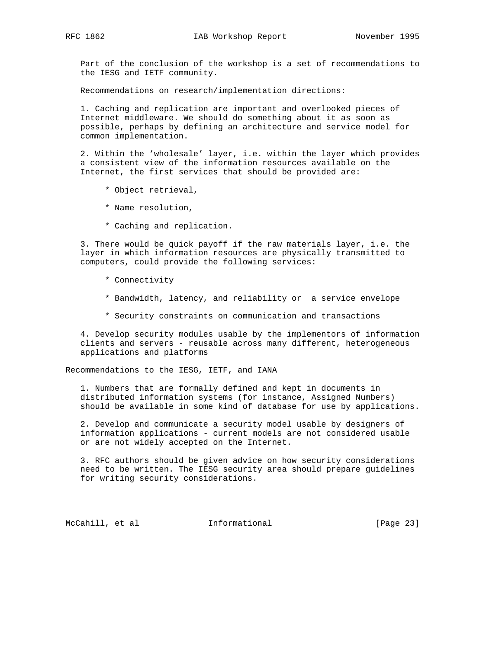Part of the conclusion of the workshop is a set of recommendations to the IESG and IETF community.

Recommendations on research/implementation directions:

 1. Caching and replication are important and overlooked pieces of Internet middleware. We should do something about it as soon as possible, perhaps by defining an architecture and service model for common implementation.

 2. Within the 'wholesale' layer, i.e. within the layer which provides a consistent view of the information resources available on the Internet, the first services that should be provided are:

- \* Object retrieval,
- \* Name resolution,
- \* Caching and replication.

 3. There would be quick payoff if the raw materials layer, i.e. the layer in which information resources are physically transmitted to computers, could provide the following services:

- \* Connectivity
- \* Bandwidth, latency, and reliability or a service envelope
- \* Security constraints on communication and transactions

 4. Develop security modules usable by the implementors of information clients and servers - reusable across many different, heterogeneous applications and platforms

Recommendations to the IESG, IETF, and IANA

 1. Numbers that are formally defined and kept in documents in distributed information systems (for instance, Assigned Numbers) should be available in some kind of database for use by applications.

 2. Develop and communicate a security model usable by designers of information applications - current models are not considered usable or are not widely accepted on the Internet.

 3. RFC authors should be given advice on how security considerations need to be written. The IESG security area should prepare guidelines for writing security considerations.

McCahill, et al **Informational** [Page 23]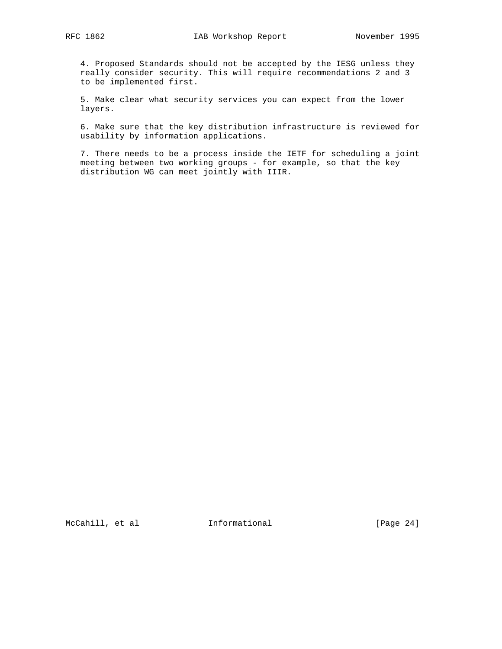4. Proposed Standards should not be accepted by the IESG unless they really consider security. This will require recommendations 2 and 3 to be implemented first.

 5. Make clear what security services you can expect from the lower layers.

 6. Make sure that the key distribution infrastructure is reviewed for usability by information applications.

 7. There needs to be a process inside the IETF for scheduling a joint meeting between two working groups - for example, so that the key distribution WG can meet jointly with IIIR.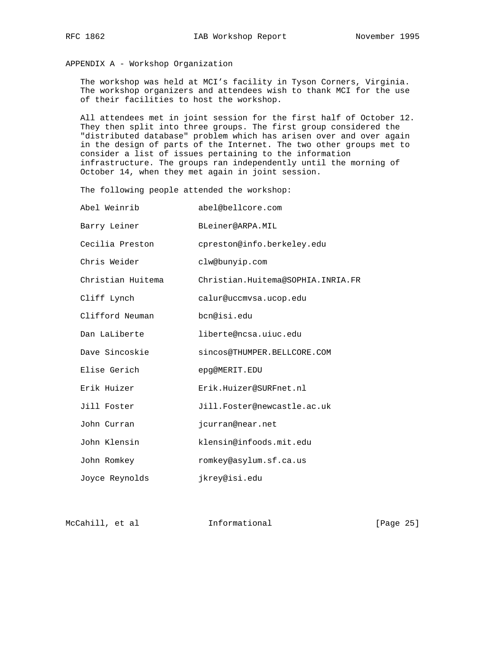APPENDIX A - Workshop Organization

 The workshop was held at MCI's facility in Tyson Corners, Virginia. The workshop organizers and attendees wish to thank MCI for the use of their facilities to host the workshop.

 All attendees met in joint session for the first half of October 12. They then split into three groups. The first group considered the "distributed database" problem which has arisen over and over again in the design of parts of the Internet. The two other groups met to consider a list of issues pertaining to the information infrastructure. The groups ran independently until the morning of October 14, when they met again in joint session.

The following people attended the workshop:

| Abel Weinrib      | abel@bellcore.com                 |
|-------------------|-----------------------------------|
| Barry Leiner      | BLeiner@ARPA.MIL                  |
| Cecilia Preston   | cpreston@info.berkeley.edu        |
| Chris Weider      | clw@bunyip.com                    |
| Christian Huitema | Christian.Huitema@SOPHIA.INRIA.FR |
| Cliff Lynch       | calur@uccmvsa.ucop.edu            |
| Clifford Neuman   | bcn@isi.edu                       |
| Dan LaLiberte     | liberte@ncsa.uiuc.edu             |
| Dave Sincoskie    | sincos@THUMPER.BELLCORE.COM       |
| Elise Gerich      | epq@MERIT.EDU                     |
| Erik Huizer       | Erik.Huizer@SURFnet.nl            |
| Jill Foster       | Jill.Foster@newcastle.ac.uk       |
| John Curran       | jcurran@near.net                  |
| John Klensin      | klensin@infoods.mit.edu           |
| John Romkey       | romkey@asylum.sf.ca.us            |
| Joyce Reynolds    | jkrey@isi.edu                     |

McCahill, et al **Informational** [Page 25]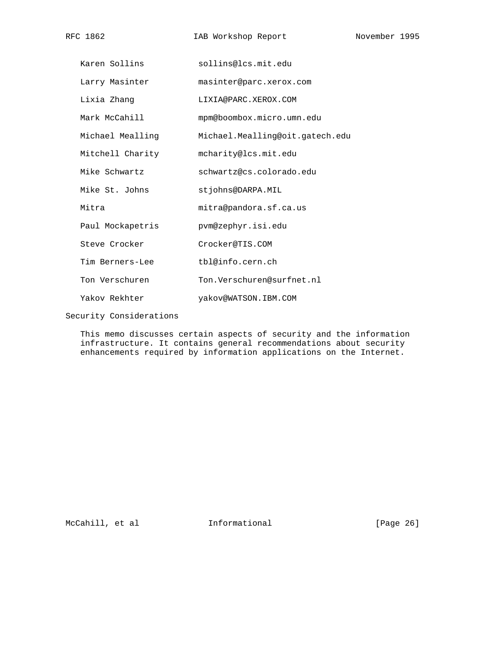| Karen Sollins    | sollins@lcs.mit.edu             |
|------------------|---------------------------------|
| Larry Masinter   | masinter@parc.xerox.com         |
| Lixia Zhang      | LIXIA@PARC.XEROX.COM            |
| Mark McCahill    | mpm@boombox.micro.umn.edu       |
| Michael Mealling | Michael.Mealling@oit.gatech.edu |
| Mitchell Charity | mcharity@lcs.mit.edu            |
| Mike Schwartz    | schwartz@cs.colorado.edu        |
| Mike St. Johns   | stjohns@DARPA.MIL               |
| Mitra            | mitra@pandora.sf.ca.us          |
| Paul Mockapetris | pym@zephyr.isi.edu              |
| Steve Crocker    | Crocker@TIS.COM                 |
| Tim Berners-Lee  | tbl@info.cern.ch                |
| Ton Verschuren   | Ton.Verschuren@surfnet.nl       |
| Yakov Rekhter    | yakov@WATSON.IBM.COM            |

Security Considerations

 This memo discusses certain aspects of security and the information infrastructure. It contains general recommendations about security enhancements required by information applications on the Internet.

McCahill, et al **Informational** [Page 26]